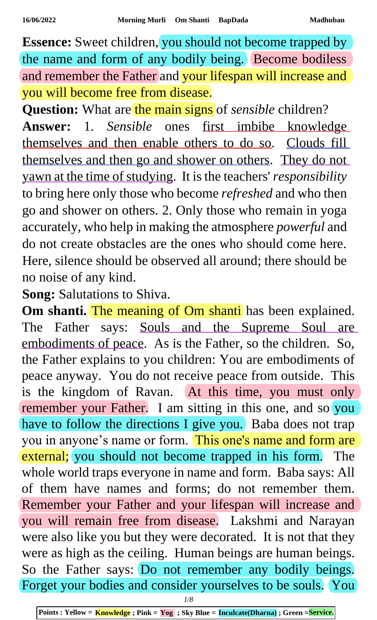**Essence:** Sweet children, you should not become trapped by the name and form of any bodily being. Become bodiless and remember the Father and your lifespan will increase and you will become free from disease.

**Question:** What are the main signs of *sensible* children? **Answer:** 1. *Sensible* ones first imbibe knowledge themselves and then enable others to do so. Clouds fill themselves and then go and shower on others. They do not yawn at the time of studying. It is the teachers' *responsibility* to bring here only those who become *refreshed* and who then go and shower on others. 2. Only those who remain in yoga accurately, who help in making the atmosphere *powerful* and do not create obstacles are the ones who should come here. Here, silence should be observed all around; there should be no noise of any kind.

**Song:** Salutations to Shiva.

Om shanti. The meaning of Om shanti has been explained. The Father says: Souls and the Supreme Soul are embodiments of peace. As is the Father, so the children. So, the Father explains to you children: You are embodiments of peace anyway. You do not receive peace from outside. This is the kingdom of Ravan. At this time, you must only remember your Father. I am sitting in this one, and so you have to follow the directions I give you. Baba does not trap you in anyone's name or form. This one's name and form are external; you should not become trapped in his form. The whole world traps everyone in name and form. Baba says: All of them have names and forms; do not remember them. Remember your Father and your lifespan will increase and you will remain free from disease. Lakshmi and Narayan were also like you but they were decorated. It is not that they were as high as the ceiling. Human beings are human beings. So the Father says: Do not remember any bodily beings. Forget your bodies and consider yourselves to be souls. You

*1/8*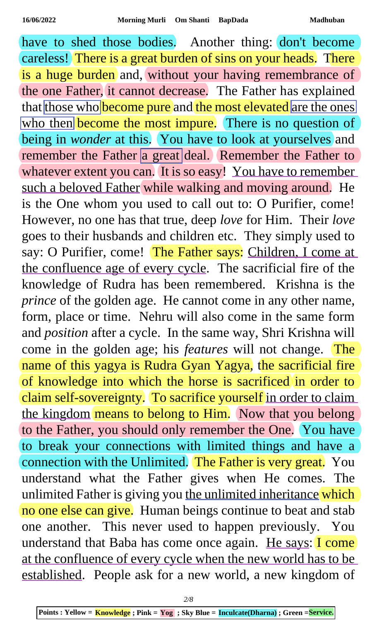have to shed those bodies. Another thing: don't become careless! There is a great burden of sins on your heads. There is a huge burden and, without your having remembrance of the one Father, it cannot decrease. The Father has explained that those who become pure and the most elevated are the ones who then become the most impure. There is no question of being in *wonder* at this. You have to look at yourselves and remember the Father a great deal. Remember the Father to whatever extent you can. It is so easy! You have to remember such a beloved Father while walking and moving around. He is the One whom you used to call out to: O Purifier, come! However, no one has that true, deep *love* for Him. Their *love* goes to their husbands and children etc. They simply used to say: O Purifier, come! The Father says: Children, I come at the confluence age of every cycle. The sacrificial fire of the knowledge of Rudra has been remembered. Krishna is the *prince* of the golden age. He cannot come in any other name, form, place or time. Nehru will also come in the same form and *position* after a cycle. In the same way, Shri Krishna will come in the golden age; his *features* will not change. The name of this yagya is Rudra Gyan Yagya, the sacrificial fire of knowledge into which the horse is sacrificed in order to claim self-sovereignty. To sacrifice yourself in order to claim the kingdom means to belong to Him. Now that you belong to the Father, you should only remember the One. You have to break your connections with limited things and have a connection with the Unlimited. The Father is very great. You understand what the Father gives when He comes. The unlimited Father is giving you the unlimited inheritance which no one else can give. Human beings continue to beat and stab one another. This never used to happen previously. You understand that Baba has come once again. He says: I come at the confluence of every cycle when the new world has to be established. People ask for a new world, a new kingdom of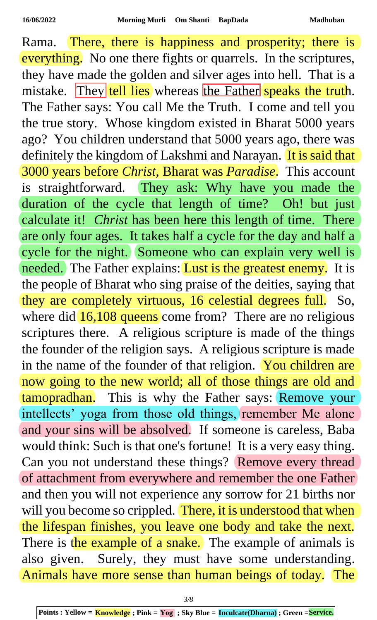Rama. There, there is happiness and prosperity; there is everything. No one there fights or quarrels. In the scriptures, they have made the golden and silver ages into hell. That is a mistake. They tell lies whereas the Father speaks the truth. The Father says: You call Me the Truth. I come and tell you the true story. Whose kingdom existed in Bharat 5000 years ago? You children understand that 5000 years ago, there was definitely the kingdom of Lakshmi and Narayan. It is said that 3000 years before *Christ*, Bharat was *Paradise*. This account is straightforward. They ask: Why have you made the duration of the cycle that length of time? Oh! but just calculate it! *Christ* has been here this length of time. There are only four ages. It takes half a cycle for the day and half a cycle for the night. Someone who can explain very well is needed. The Father explains: Lust is the greatest enemy. It is the people of Bharat who sing praise of the deities, saying that they are completely virtuous, 16 celestial degrees full. So, where did  $16,108$  queens come from? There are no religious scriptures there. A religious scripture is made of the things the founder of the religion says. A religious scripture is made in the name of the founder of that religion. You children are now going to the new world; all of those things are old and tamopradhan. This is why the Father says: Remove your intellects' yoga from those old things, remember Me alone and your sins will be absolved. If someone is careless, Baba would think: Such is that one's fortune! It is a very easy thing. Can you not understand these things? Remove every thread of attachment from everywhere and remember the one Father and then you will not experience any sorrow for 21 births nor will you become so crippled. There, it is understood that when the lifespan finishes, you leave one body and take the next. There is the example of a snake. The example of animals is also given. Surely, they must have some understanding. Animals have more sense than human beings of today. The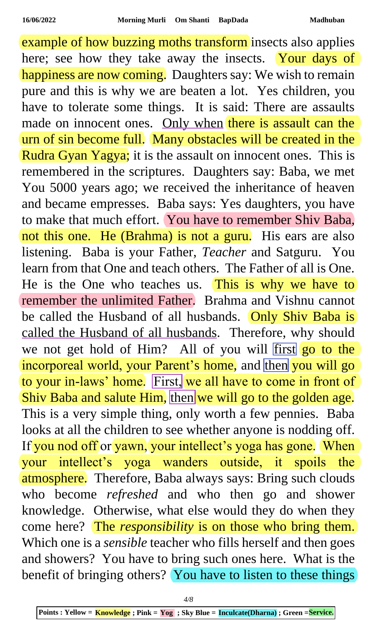example of how buzzing moths transform insects also applies here; see how they take away the insects. Your days of happiness are now coming. Daughters say: We wish to remain pure and this is why we are beaten a lot. Yes children, you have to tolerate some things. It is said: There are assaults made on innocent ones. Only when there is assault can the urn of sin become full. Many obstacles will be created in the Rudra Gyan Yagya; it is the assault on innocent ones. This is remembered in the scriptures. Daughters say: Baba, we met You 5000 years ago; we received the inheritance of heaven and became empresses. Baba says: Yes daughters, you have to make that much effort. You have to remember Shiv Baba, not this one. He (Brahma) is not a guru. His ears are also listening. Baba is your Father, *Teacher* and Satguru. You learn from that One and teach others. The Father of all is One. He is the One who teaches us. This is why we have to remember the unlimited Father. Brahma and Vishnu cannot be called the Husband of all husbands. Only Shiv Baba is called the Husband of all husbands. Therefore, why should we not get hold of Him? All of you will first go to the incorporeal world, your Parent's home, and then you will go to your in-laws' home. First, we all have to come in front of Shiv Baba and salute Him, then we will go to the golden age. This is a very simple thing, only worth a few pennies. Baba looks at all the children to see whether anyone is nodding off. If you nod off or yawn, your intellect's yoga has gone. When your intellect's yoga wanders outside, it spoils the atmosphere. Therefore, Baba always says: Bring such clouds who become *refreshed* and who then go and shower knowledge. Otherwise, what else would they do when they come here? The *responsibility* is on those who bring them. Which one is a *sensible* teacher who fills herself and then goes and showers? You have to bring such ones here. What is the benefit of bringing others? You have to listen to these things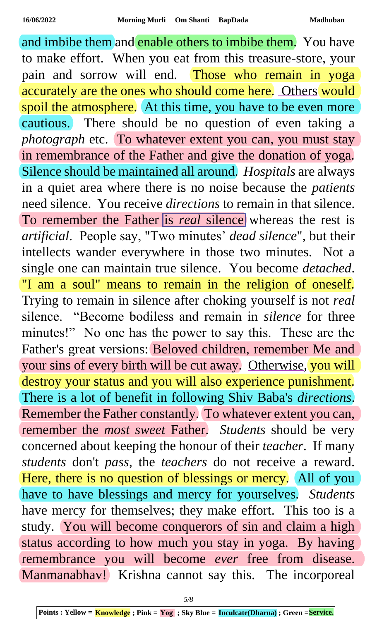and imbibe them and enable others to imbibe them. You have to make effort. When you eat from this treasure-store, your pain and sorrow will end. Those who remain in yoga accurately are the ones who should come here. Others would spoil the atmosphere. At this time, you have to be even more cautious. There should be no question of even taking a *photograph* etc. To whatever extent you can, you must stay in remembrance of the Father and give the donation of yoga. Silence should be maintained all around. *Hospitals* are always in a quiet area where there is no noise because the *patients* need silence. You receive *directions* to remain in that silence. To remember the Father is *real* silence whereas the rest is *artificial*. People say, "Two minutes' *dead silence*", but their intellects wander everywhere in those two minutes. Not a single one can maintain true silence. You become *detached*. "I am a soul" means to remain in the religion of oneself. Trying to remain in silence after choking yourself is not *real* silence. "Become bodiless and remain in *silence* for three minutes!" No one has the power to say this. These are the Father's great versions: Beloved children, remember Me and your sins of every birth will be cut away. Otherwise, you will destroy your status and you will also experience punishment. There is a lot of benefit in following Shiv Baba's *directions*. Remember the Father constantly. To whatever extent you can, remember the *most sweet* Father. *Students* should be very concerned about keeping the honour of their *teacher*. If many *students* don't *pass*, the *teachers* do not receive a reward. Here, there is no question of blessings or mercy. All of you have to have blessings and mercy for yourselves. *Students* have mercy for themselves; they make effort. This too is a study. You will become conquerors of sin and claim a high status according to how much you stay in yoga. By having remembrance you will become *ever* free from disease. Manmanabhav! Krishna cannot say this. The incorporeal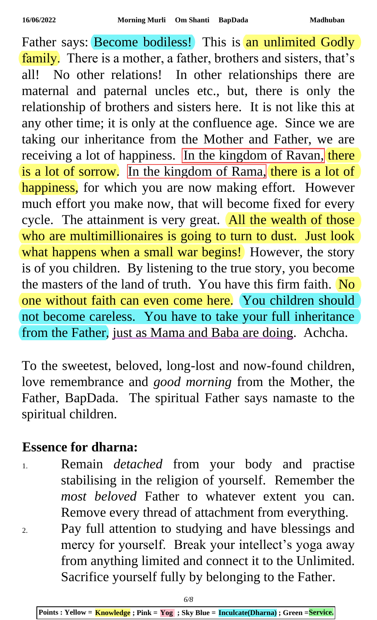Father says: Become bodiless! This is an unlimited Godly family. There is a mother, a father, brothers and sisters, that's all! No other relations! In other relationships there are maternal and paternal uncles etc., but, there is only the relationship of brothers and sisters here. It is not like this at any other time; it is only at the confluence age. Since we are taking our inheritance from the Mother and Father, we are receiving a lot of happiness. In the kingdom of Ravan, there is a lot of sorrow. In the kingdom of Rama, there is a lot of happiness, for which you are now making effort. However much effort you make now, that will become fixed for every cycle. The attainment is very great. All the wealth of those who are multimillionaires is going to turn to dust. Just look what happens when a small war begins! However, the story is of you children. By listening to the true story, you become the masters of the land of truth. You have this firm faith. No one without faith can even come here. You children should not become careless. You have to take your full inheritance from the Father, just as Mama and Baba are doing. Achcha.

To the sweetest, beloved, long-lost and now-found children, love remembrance and *good morning* from the Mother, the Father, BapDada. The spiritual Father says namaste to the spiritual children.

## **Essence for dharna:**

- 1. Remain *detached* from your body and practise stabilising in the religion of yourself. Remember the *most beloved* Father to whatever extent you can. Remove every thread of attachment from everything.
- 2. Pay full attention to studying and have blessings and mercy for yourself. Break your intellect's yoga away from anything limited and connect it to the Unlimited. Sacrifice yourself fully by belonging to the Father.

**Points : Yellow = Knowledge ; Pink = Yog ; Sky Blue = Inculcate(Dharna) ; Green =Service.**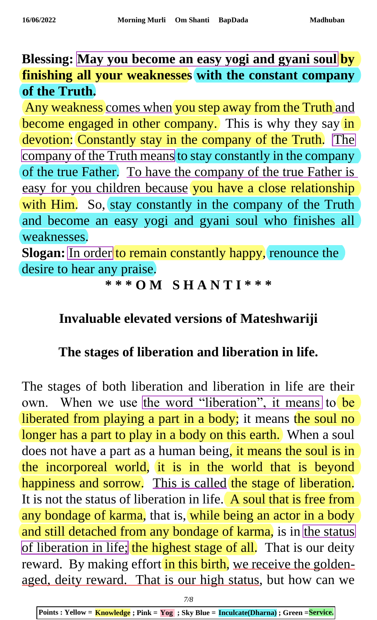**Blessing: May you become an easy yogi and gyani soul by finishing all your weaknesses with the constant company of the Truth.**

Any weakness comes when you step away from the Truth and become engaged in other company. This is why they say in devotion: Constantly stay in the company of the Truth. The company of the Truth means to stay constantly in the company of the true Father. To have the company of the true Father is easy for you children because you have a close relationship with Him. So, stay constantly in the company of the Truth and become an easy yogi and gyani soul who finishes all weaknesses.

**Slogan:** In order to remain constantly happy, renounce the desire to hear any praise.

## **\* \* \* O M S H A N T I \* \* \***

## **Invaluable elevated versions of Mateshwariji**

## **The stages of liberation and liberation in life.**

The stages of both liberation and liberation in life are their own. When we use the word "liberation", it means to be liberated from playing a part in a body; it means the soul no longer has a part to play in a body on this earth. When a soul does not have a part as a human being, it means the soul is in the incorporeal world, it is in the world that is beyond happiness and sorrow. This is called the stage of liberation. It is not the status of liberation in life. A soul that is free from any bondage of karma, that is, while being an actor in a body and still detached from any bondage of karma, is in the status of liberation in life; the highest stage of all. That is our deity reward. By making effort in this birth, we receive the goldenaged, deity reward. That is our high status, but how can we

**Points : Yellow = Knowledge ; Pink = Yog ; Sky Blue = Inculcate(Dharna) ; Green =Service.**